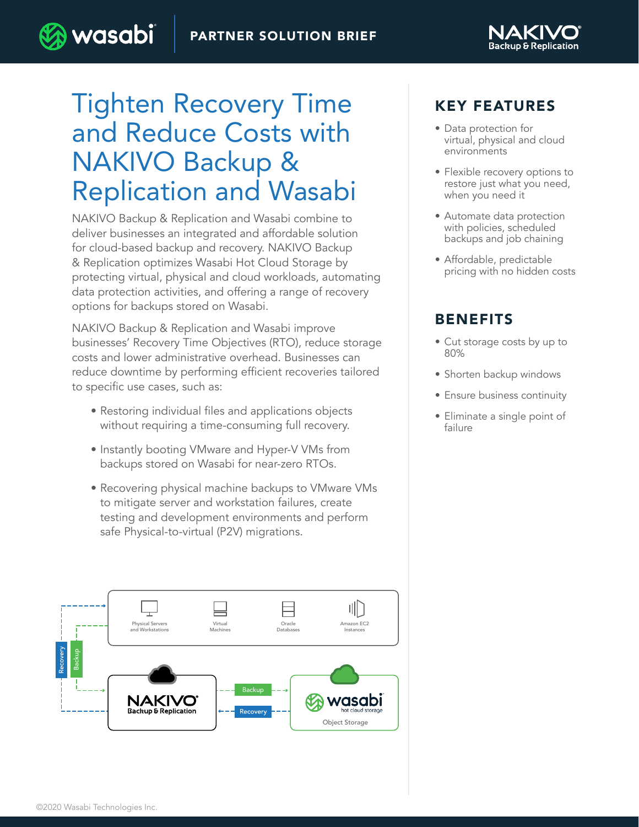

# Tighten Recovery Time and Reduce Costs with NAKIVO Backup & Replication and Wasabi

) wasabi

NAKIVO Backup & Replication and Wasabi combine to deliver businesses an integrated and affordable solution for cloud-based backup and recovery. NAKIVO Backup & Replication optimizes Wasabi Hot Cloud Storage by protecting virtual, physical and cloud workloads, automating data protection activities, and offering a range of recovery options for backups stored on Wasabi.

NAKIVO Backup & Replication and Wasabi improve businesses' Recovery Time Objectives (RTO), reduce storage costs and lower administrative overhead. Businesses can reduce downtime by performing efficient recoveries tailored to specific use cases, such as:

- Restoring individual files and applications objects without requiring a time-consuming full recovery.
- Instantly booting VMware and Hyper-V VMs from backups stored on Wasabi for near-zero RTOs.
- Recovering physical machine backups to VMware VMs to mitigate server and workstation failures, create testing and development environments and perform safe Physical-to-virtual (P2V) migrations.



#### KEY FEATURES

- Data protection for virtual, physical and cloud environments
- Flexible recovery options to restore just what you need, when you need it
- Automate data protection with policies, scheduled backups and job chaining
- Affordable, predictable pricing with no hidden costs

#### BENEFITS

- Cut storage costs by up to 80%
- Shorten backup windows
- Ensure business continuity
- Eliminate a single point of failure